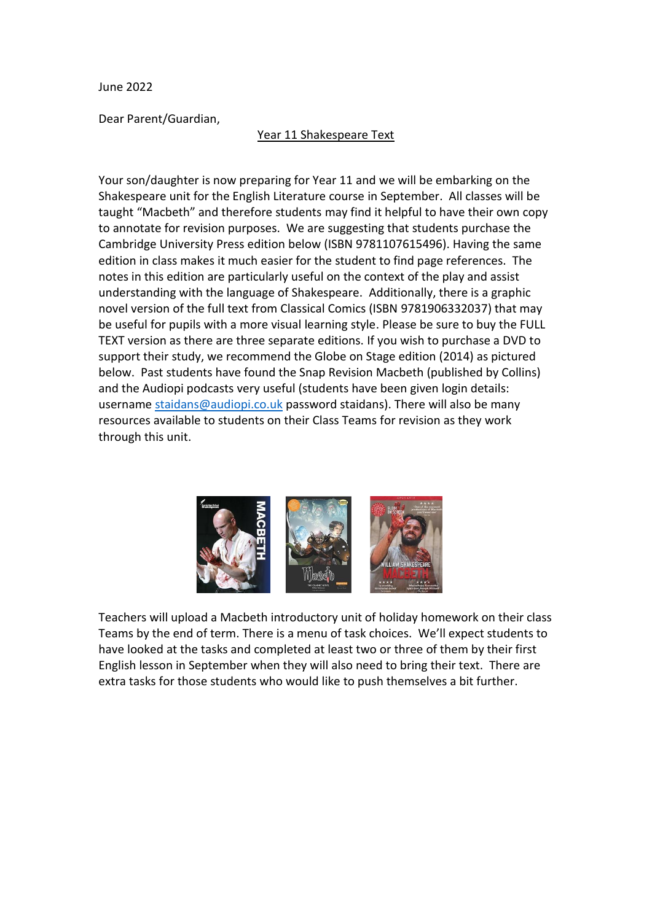June 2022

Dear Parent/Guardian,

## Year 11 Shakespeare Text

Your son/daughter is now preparing for Year 11 and we will be embarking on the Shakespeare unit for the English Literature course in September. All classes will be taught "Macbeth" and therefore students may find it helpful to have their own copy to annotate for revision purposes. We are suggesting that students purchase the Cambridge University Press edition below (ISBN 9781107615496). Having the same edition in class makes it much easier for the student to find page references. The notes in this edition are particularly useful on the context of the play and assist understanding with the language of Shakespeare. Additionally, there is a graphic novel version of the full text from Classical Comics (ISBN 9781906332037) that may be useful for pupils with a more visual learning style. Please be sure to buy the FULL TEXT version as there are three separate editions. If you wish to purchase a DVD to support their study, we recommend the Globe on Stage edition (2014) as pictured below. Past students have found the Snap Revision Macbeth (published by Collins) and the Audiopi podcasts very useful (students have been given login details: username [staidans@audiopi.co.uk](mailto:staidans@audiopi.co.uk) password staidans). There will also be many resources available to students on their Class Teams for revision as they work through this unit.



Teachers will upload a Macbeth introductory unit of holiday homework on their class Teams by the end of term. There is a menu of task choices. We'll expect students to have looked at the tasks and completed at least two or three of them by their first English lesson in September when they will also need to bring their text. There are extra tasks for those students who would like to push themselves a bit further.